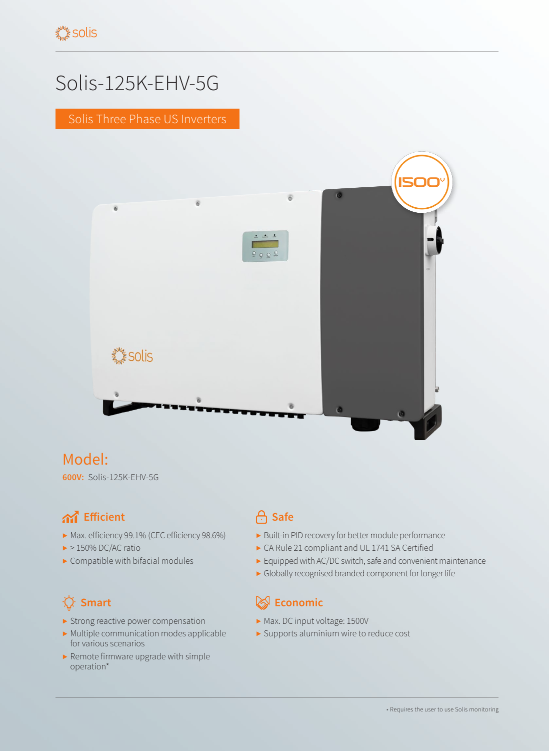# Solis-125K-EHV-5G

Solis Three Phase US Inverters



## Model:

**600V:** Solis-125K-EHV-5G

## **And** Efficient **Safe**

- ▶ Max. efficiency 99.1% (CEC efficiency 98.6%)
- $\blacktriangleright$  > 150% DC/AC ratio
- $\blacktriangleright$  Compatible with bifacial modules

- ▶ Strong reactive power compensation
- ▶ Multiple communication modes applicable for various scenarios
- ▶ Remote firmware upgrade with simple operation\*

- ▶ Built-in PID recovery for better module performance
- ▶ CA Rule 21 compliant and UL 1741 SA Certified
- ▶ Equipped with AC/DC switch, safe and convenient maintenance
- ▶ Globally recognised branded component for longer life

### **Smart Economic**

- ▶ Max. DC input voltage: 1500V
- ▶ Supports aluminium wire to reduce cost